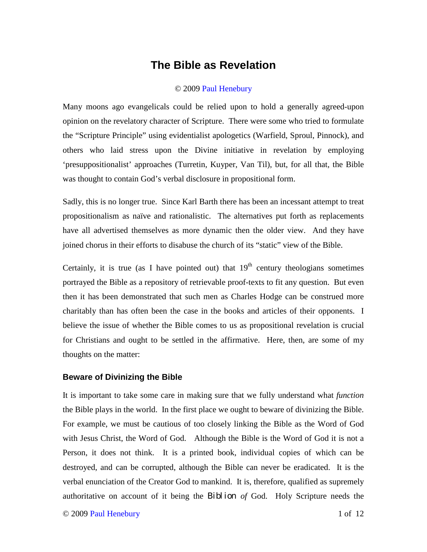# **The Bible as Revelation**

### © 2009 Paul Henebury

Many moons ago evangelicals could be relied upon to hold a generally agreed-upon opinion on the revelatory character of Scripture. There were some who tried to formulate the "Scripture Principle" using evidentialist apologetics (Warfield, Sproul, Pinnock), and others who laid stress upon the Divine initiative in revelation by employing 'presuppositionalist' approaches (Turretin, Kuyper, Van Til), but, for all that, the Bible was thought to contain God's verbal disclosure in propositional form.

Sadly, this is no longer true. Since Karl Barth there has been an incessant attempt to treat propositionalism as naïve and rationalistic. The alternatives put forth as replacements have all advertised themselves as more dynamic then the older view. And they have joined chorus in their efforts to disabuse the church of its "static" view of the Bible.

Certainly, it is true (as I have pointed out) that  $19<sup>th</sup>$  century theologians sometimes portrayed the Bible as a repository of retrievable proof-texts to fit any question. But even then it has been demonstrated that such men as Charles Hodge can be construed more charitably than has often been the case in the books and articles of their opponents. I believe the issue of whether the Bible comes to us as propositional revelation is crucial for Christians and ought to be settled in the affirmative. Here, then, are some of my thoughts on the matter:

## **Beware of Divinizing the Bible**

It is important to take some care in making sure that we fully understand what *function*  the Bible plays in the world. In the first place we ought to beware of divinizing the Bible. For example, we must be cautious of too closely linking the Bible as the Word of God with Jesus Christ, the Word of God. Although the Bible is the Word of God it is not a Person, it does not think. It is a printed book, individual copies of which can be destroyed, and can be corrupted, although the Bible can never be eradicated. It is the verbal enunciation of the Creator God to mankind. It is, therefore, qualified as supremely authoritative on account of it being the Biblion *of* God. Holy Scripture needs the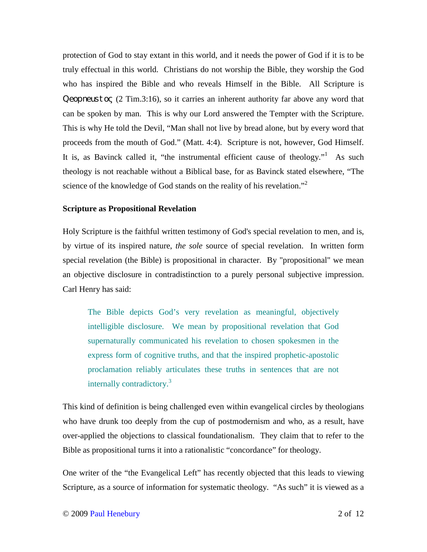protection of God to stay extant in this world, and it needs the power of God if it is to be truly effectual in this world. Christians do not worship the Bible, they worship the God who has inspired the Bible and who reveals Himself in the Bible. All Scripture is Qeopneustoς (2 Tim.3:16), so it carries an inherent authority far above any word that can be spoken by man. This is why our Lord answered the Tempter with the Scripture. This is why He told the Devil, "Man shall not live by bread alone, but by every word that proceeds from the mouth of God." (Matt. 4:4). Scripture is not, however, God Himself. It is, as Bavinck called it, "the instrumental efficient cause of theology."<sup>1</sup> As such theology is not reachable without a Biblical base, for as Bavinck stated elsewhere, "The science of the knowledge of God stands on the reality of his revelation."<sup>2</sup>

#### **Scripture as Propositional Revelation**

Holy Scripture is the faithful written testimony of God's special revelation to men, and is, by virtue of its inspired nature, *the sole* source of special revelation. In written form special revelation (the Bible) is propositional in character. By "propositional" we mean an objective disclosure in contradistinction to a purely personal subjective impression. Carl Henry has said:

The Bible depicts God's very revelation as meaningful, objectively intelligible disclosure. We mean by propositional revelation that God supernaturally communicated his revelation to chosen spokesmen in the express form of cognitive truths, and that the inspired prophetic-apostolic proclamation reliably articulates these truths in sentences that are not internally contradictory.<sup>3</sup>

This kind of definition is being challenged even within evangelical circles by theologians who have drunk too deeply from the cup of postmodernism and who, as a result, have over-applied the objections to classical foundationalism. They claim that to refer to the Bible as propositional turns it into a rationalistic "concordance" for theology.

One writer of the "the Evangelical Left" has recently objected that this leads to viewing Scripture, as a source of information for systematic theology. "As such" it is viewed as a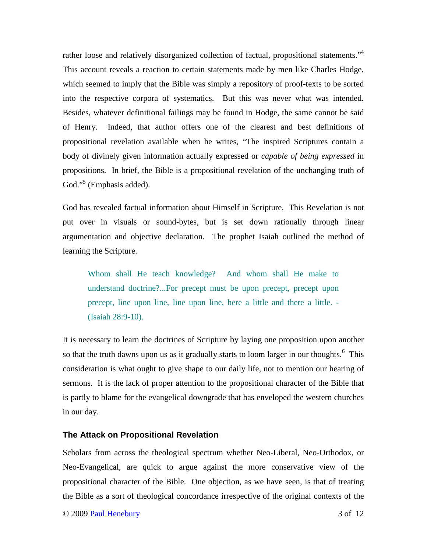rather loose and relatively disorganized collection of factual, propositional statements."<sup>4</sup> This account reveals a reaction to certain statements made by men like Charles Hodge, which seemed to imply that the Bible was simply a repository of proof-texts to be sorted into the respective corpora of systematics. But this was never what was intended. Besides, whatever definitional failings may be found in Hodge, the same cannot be said of Henry. Indeed, that author offers one of the clearest and best definitions of propositional revelation available when he writes, "The inspired Scriptures contain a body of divinely given information actually expressed or *capable of being expressed* in propositions. In brief, the Bible is a propositional revelation of the unchanging truth of God."<sup>5</sup> (Emphasis added).

God has revealed factual information about Himself in Scripture. This Revelation is not put over in visuals or sound-bytes, but is set down rationally through linear argumentation and objective declaration. The prophet Isaiah outlined the method of learning the Scripture.

Whom shall He teach knowledge? And whom shall He make to understand doctrine?...For precept must be upon precept, precept upon precept, line upon line, line upon line, here a little and there a little. - (Isaiah 28:9-10).

It is necessary to learn the doctrines of Scripture by laying one proposition upon another so that the truth dawns upon us as it gradually starts to loom larger in our thoughts.<sup>6</sup> This consideration is what ought to give shape to our daily life, not to mention our hearing of sermons. It is the lack of proper attention to the propositional character of the Bible that is partly to blame for the evangelical downgrade that has enveloped the western churches in our day.

#### **The Attack on Propositional Revelation**

Scholars from across the theological spectrum whether Neo-Liberal, Neo-Orthodox, or Neo-Evangelical, are quick to argue against the more conservative view of the propositional character of the Bible. One objection, as we have seen, is that of treating the Bible as a sort of theological concordance irrespective of the original contexts of the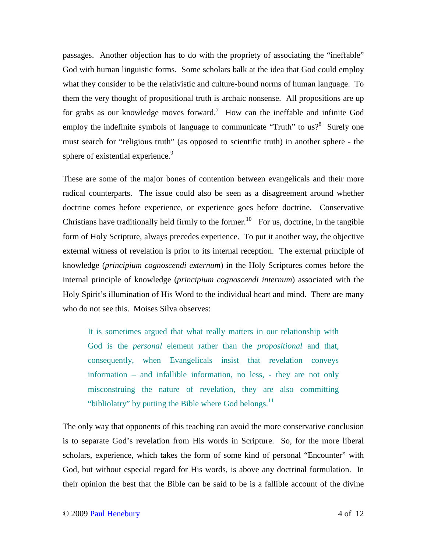passages. Another objection has to do with the propriety of associating the "ineffable" God with human linguistic forms. Some scholars balk at the idea that God could employ what they consider to be the relativistic and culture-bound norms of human language. To them the very thought of propositional truth is archaic nonsense. All propositions are up for grabs as our knowledge moves forward.<sup>7</sup> How can the ineffable and infinite God employ the indefinite symbols of language to communicate "Truth" to us?<sup>8</sup> Surely one must search for "religious truth" (as opposed to scientific truth) in another sphere - the sphere of existential experience.<sup>9</sup>

These are some of the major bones of contention between evangelicals and their more radical counterparts. The issue could also be seen as a disagreement around whether doctrine comes before experience, or experience goes before doctrine. Conservative Christians have traditionally held firmly to the former.<sup>10</sup> For us, doctrine, in the tangible form of Holy Scripture, always precedes experience. To put it another way, the objective external witness of revelation is prior to its internal reception. The external principle of knowledge (*principium cognoscendi externum*) in the Holy Scriptures comes before the internal principle of knowledge (*principium cognoscendi internum*) associated with the Holy Spirit's illumination of His Word to the individual heart and mind. There are many who do not see this. Moises Silva observes:

It is sometimes argued that what really matters in our relationship with God is the *personal* element rather than the *propositional* and that, consequently, when Evangelicals insist that revelation conveys information – and infallible information, no less, - they are not only misconstruing the nature of revelation, they are also committing "bibliolatry" by putting the Bible where God belongs. $^{11}$ 

The only way that opponents of this teaching can avoid the more conservative conclusion is to separate God's revelation from His words in Scripture. So, for the more liberal scholars, experience, which takes the form of some kind of personal "Encounter" with God, but without especial regard for His words, is above any doctrinal formulation. In their opinion the best that the Bible can be said to be is a fallible account of the divine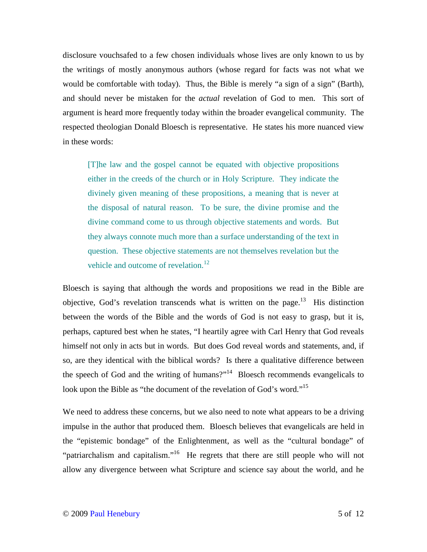disclosure vouchsafed to a few chosen individuals whose lives are only known to us by the writings of mostly anonymous authors (whose regard for facts was not what we would be comfortable with today). Thus, the Bible is merely "a sign of a sign" (Barth), and should never be mistaken for the *actual* revelation of God to men. This sort of argument is heard more frequently today within the broader evangelical community. The respected theologian Donald Bloesch is representative. He states his more nuanced view in these words:

[T]he law and the gospel cannot be equated with objective propositions either in the creeds of the church or in Holy Scripture. They indicate the divinely given meaning of these propositions, a meaning that is never at the disposal of natural reason. To be sure, the divine promise and the divine command come to us through objective statements and words. But they always connote much more than a surface understanding of the text in question. These objective statements are not themselves revelation but the vehicle and outcome of revelation.<sup>12</sup>

Bloesch is saying that although the words and propositions we read in the Bible are objective, God's revelation transcends what is written on the page.<sup>13</sup> His distinction between the words of the Bible and the words of God is not easy to grasp, but it is, perhaps, captured best when he states, "I heartily agree with Carl Henry that God reveals himself not only in acts but in words. But does God reveal words and statements, and, if so, are they identical with the biblical words? Is there a qualitative difference between the speech of God and the writing of humans?"<sup>14</sup> Bloesch recommends evangelicals to look upon the Bible as "the document of the revelation of God's word."<sup>15</sup>

We need to address these concerns, but we also need to note what appears to be a driving impulse in the author that produced them. Bloesch believes that evangelicals are held in the "epistemic bondage" of the Enlightenment, as well as the "cultural bondage" of "patriarchalism and capitalism."<sup>16</sup> He regrets that there are still people who will not allow any divergence between what Scripture and science say about the world, and he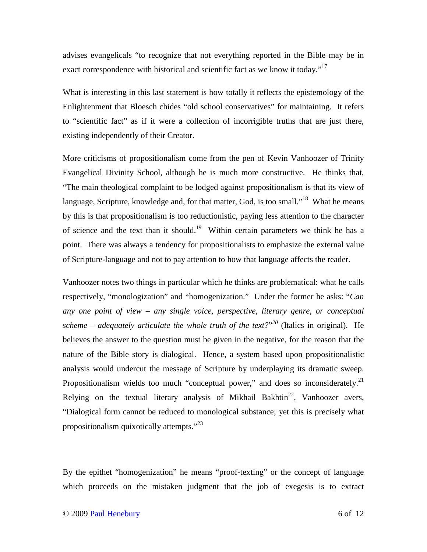advises evangelicals "to recognize that not everything reported in the Bible may be in exact correspondence with historical and scientific fact as we know it today."<sup>17</sup>

What is interesting in this last statement is how totally it reflects the epistemology of the Enlightenment that Bloesch chides "old school conservatives" for maintaining. It refers to "scientific fact" as if it were a collection of incorrigible truths that are just there, existing independently of their Creator.

More criticisms of propositionalism come from the pen of Kevin Vanhoozer of Trinity Evangelical Divinity School, although he is much more constructive. He thinks that, "The main theological complaint to be lodged against propositionalism is that its view of language, Scripture, knowledge and, for that matter, God, is too small."<sup>18</sup> What he means by this is that propositionalism is too reductionistic, paying less attention to the character of science and the text than it should.<sup>19</sup> Within certain parameters we think he has a point. There was always a tendency for propositionalists to emphasize the external value of Scripture-language and not to pay attention to how that language affects the reader.

Vanhoozer notes two things in particular which he thinks are problematical: what he calls respectively, "monologization" and "homogenization." Under the former he asks: "*Can any one point of view – any single voice, perspective, literary genre, or conceptual scheme – adequately articulate the whole truth of the text?*" *<sup>20</sup>* (Italics in original). He believes the answer to the question must be given in the negative, for the reason that the nature of the Bible story is dialogical. Hence, a system based upon propositionalistic analysis would undercut the message of Scripture by underplaying its dramatic sweep. Propositionalism wields too much "conceptual power," and does so inconsiderately. $21$ Relying on the textual literary analysis of Mikhail Bakhtin<sup>22</sup>, Vanhoozer avers, "Dialogical form cannot be reduced to monological substance; yet this is precisely what propositionalism quixotically attempts."<sup>23</sup>

By the epithet "homogenization" he means "proof-texting" or the concept of language which proceeds on the mistaken judgment that the job of exegesis is to extract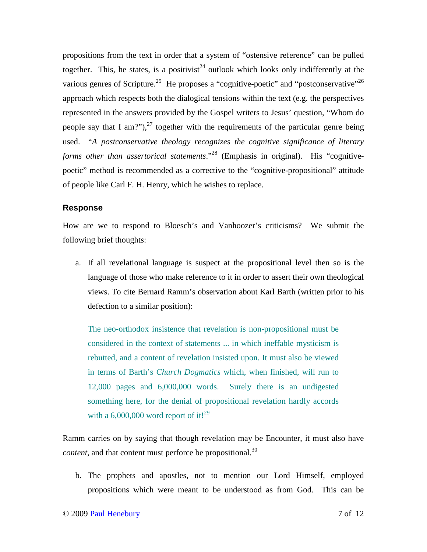propositions from the text in order that a system of "ostensive reference" can be pulled together. This, he states, is a positivist<sup>24</sup> outlook which looks only indifferently at the various genres of Scripture.<sup>25</sup> He proposes a "cognitive-poetic" and "postconservative"<sup>26</sup> approach which respects both the dialogical tensions within the text (e.g. the perspectives represented in the answers provided by the Gospel writers to Jesus' question, "Whom do people say that I am?"),  $27$  together with the requirements of the particular genre being used. "*A postconservative theology recognizes the cognitive significance of literary forms other than assertorical statements.*"<sup>28</sup> (Emphasis in original). His "cognitivepoetic" method is recommended as a corrective to the "cognitive-propositional" attitude of people like Carl F. H. Henry, which he wishes to replace.

## **Response**

How are we to respond to Bloesch's and Vanhoozer's criticisms? We submit the following brief thoughts:

a. If all revelational language is suspect at the propositional level then so is the language of those who make reference to it in order to assert their own theological views. To cite Bernard Ramm's observation about Karl Barth (written prior to his defection to a similar position):

The neo-orthodox insistence that revelation is non-propositional must be considered in the context of statements ... in which ineffable mysticism is rebutted, and a content of revelation insisted upon. It must also be viewed in terms of Barth's *Church Dogmatics* which, when finished, will run to 12,000 pages and 6,000,000 words. Surely there is an undigested something here, for the denial of propositional revelation hardly accords with a  $6,000,000$  word report of it!<sup>29</sup>

Ramm carries on by saying that though revelation may be Encounter, it must also have *content,* and that content must perforce be propositional.<sup>30</sup>

b. The prophets and apostles, not to mention our Lord Himself, employed propositions which were meant to be understood as from God. This can be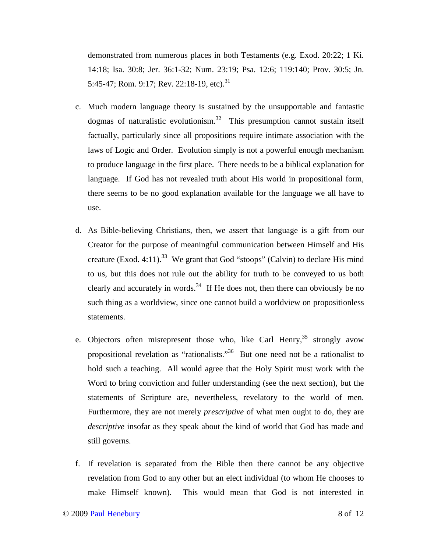demonstrated from numerous places in both Testaments (e.g. Exod. 20:22; 1 Ki. 14:18; Isa. 30:8; Jer. 36:1-32; Num. 23:19; Psa. 12:6; 119:140; Prov. 30:5; Jn. 5:45-47; Rom. 9:17; Rev. 22:18-19, etc).<sup>31</sup>

- c. Much modern language theory is sustained by the unsupportable and fantastic dogmas of naturalistic evolutionism.<sup>32</sup> This presumption cannot sustain itself factually, particularly since all propositions require intimate association with the laws of Logic and Order. Evolution simply is not a powerful enough mechanism to produce language in the first place. There needs to be a biblical explanation for language. If God has not revealed truth about His world in propositional form, there seems to be no good explanation available for the language we all have to use.
- d. As Bible-believing Christians, then, we assert that language is a gift from our Creator for the purpose of meaningful communication between Himself and His creature (Exod. 4:11).<sup>33</sup> We grant that God "stoops" (Calvin) to declare His mind to us, but this does not rule out the ability for truth to be conveyed to us both clearly and accurately in words.<sup>34</sup> If He does not, then there can obviously be no such thing as a worldview, since one cannot build a worldview on propositionless statements.
- e. Objectors often misrepresent those who, like Carl Henry,  $35$  strongly avow propositional revelation as "rationalists."<sup>36</sup> But one need not be a rationalist to hold such a teaching. All would agree that the Holy Spirit must work with the Word to bring conviction and fuller understanding (see the next section), but the statements of Scripture are, nevertheless, revelatory to the world of men. Furthermore, they are not merely *prescriptive* of what men ought to do, they are *descriptive* insofar as they speak about the kind of world that God has made and still governs.
- f. If revelation is separated from the Bible then there cannot be any objective revelation from God to any other but an elect individual (to whom He chooses to make Himself known). This would mean that God is not interested in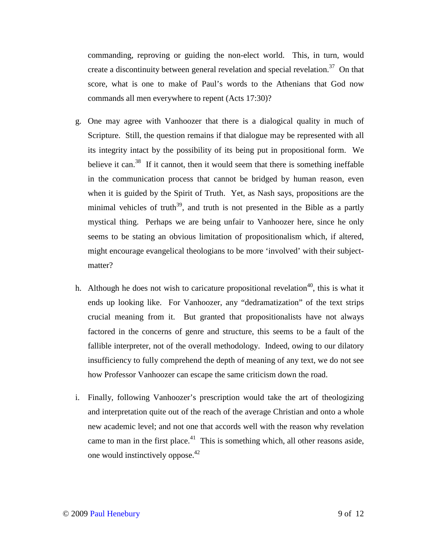commanding, reproving or guiding the non-elect world. This, in turn, would create a discontinuity between general revelation and special revelation.<sup>37</sup> On that score, what is one to make of Paul's words to the Athenians that God now commands all men everywhere to repent (Acts 17:30)?

- g. One may agree with Vanhoozer that there is a dialogical quality in much of Scripture. Still, the question remains if that dialogue may be represented with all its integrity intact by the possibility of its being put in propositional form. We believe it can.<sup>38</sup> If it cannot, then it would seem that there is something ineffable in the communication process that cannot be bridged by human reason, even when it is guided by the Spirit of Truth. Yet, as Nash says, propositions are the minimal vehicles of truth<sup>39</sup>, and truth is not presented in the Bible as a partly mystical thing. Perhaps we are being unfair to Vanhoozer here, since he only seems to be stating an obvious limitation of propositionalism which, if altered, might encourage evangelical theologians to be more 'involved' with their subjectmatter?
- h. Although he does not wish to caricature propositional revelation<sup>40</sup>, this is what it ends up looking like. For Vanhoozer, any "dedramatization" of the text strips crucial meaning from it. But granted that propositionalists have not always factored in the concerns of genre and structure, this seems to be a fault of the fallible interpreter, not of the overall methodology. Indeed, owing to our dilatory insufficiency to fully comprehend the depth of meaning of any text, we do not see how Professor Vanhoozer can escape the same criticism down the road.
- i. Finally, following Vanhoozer's prescription would take the art of theologizing and interpretation quite out of the reach of the average Christian and onto a whole new academic level; and not one that accords well with the reason why revelation came to man in the first place.<sup>41</sup> This is something which, all other reasons aside, one would instinctively oppose.<sup>42</sup>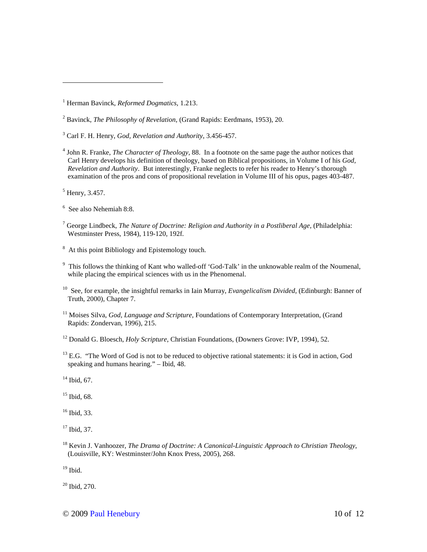3 Carl F. H. Henry, *God, Revelation and Authority*, 3.456-457.

<sup>5</sup> Henry, 3.457.

<u>.</u>

<sup>8</sup> At this point Bibliology and Epistemology touch.

 $14$  Ibid, 67.

 $15$  Ibid, 68.

<sup>16</sup> Ibid, 33.

<sup>17</sup> Ibid, 37.

<sup>18</sup> Kevin J. Vanhoozer, *The Drama of Doctrine: A Canonical-Linguistic Approach to Christian Theology*, (Louisville, KY: Westminster/John Knox Press, 2005), 268.

 $19$  Ibid.

 $20$  Ibid, 270.

<sup>1</sup> Herman Bavinck, *Reformed Dogmatics,* 1.213.

<sup>2</sup> Bavinck, *The Philosophy of Revelation*, (Grand Rapids: Eerdmans, 1953), 20.

<sup>4</sup> John R. Franke, *The Character of Theology*, 88. In a footnote on the same page the author notices that Carl Henry develops his definition of theology, based on Biblical propositions, in Volume I of his *God, Revelation and Authority*. But interestingly, Franke neglects to refer his reader to Henry's thorough examination of the pros and cons of propositional revelation in Volume III of his opus, pages 403-487.

<sup>6</sup> See also Nehemiah 8:8.

<sup>7</sup> George Lindbeck, *The Nature of Doctrine: Religion and Authority in a Postliberal Age*, (Philadelphia: Westminster Press, 1984), 119-120, 192f.

<sup>&</sup>lt;sup>9</sup> This follows the thinking of Kant who walled-off 'God-Talk' in the unknowable realm of the Noumenal, while placing the empirical sciences with us in the Phenomenal.

<sup>10</sup> See, for example, the insightful remarks in Iain Murray, *Evangelicalism Divided*, (Edinburgh: Banner of Truth, 2000), Chapter 7.

<sup>&</sup>lt;sup>11</sup> Moises Silva, *God, Language and Scripture*, Foundations of Contemporary Interpretation, (Grand Rapids: Zondervan, 1996), 215.

<sup>&</sup>lt;sup>12</sup> Donald G. Bloesch, *Holy Scripture*, Christian Foundations, (Downers Grove: IVP, 1994), 52.

 $13$  E.G. "The Word of God is not to be reduced to objective rational statements: it is God in action, God speaking and humans hearing." – Ibid, 48.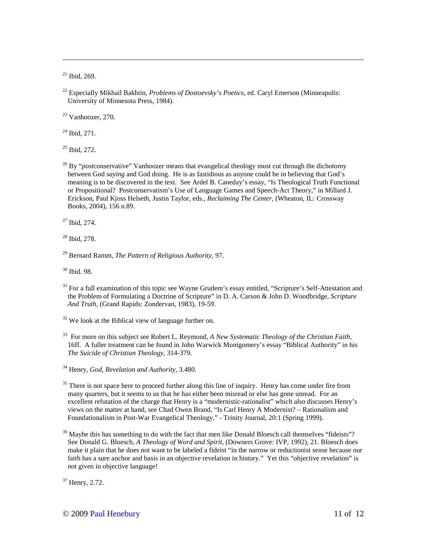$21$  Ibid, 269.

<u>.</u>

<sup>22</sup> Especially Mikhail Bakhtin, *Problems of Dostoevsky's Poetics*, ed. Caryl Emerson (Minneapolis: University of Minnesota Press, 1984).

 $23$  Vanhoozer, 270.

 $24$  Ibid, 271.

<sup>25</sup> Ibid, 272.

<sup>26</sup> By "*post*conservative" Vanhoozer means that evangelical theology must cut through the dichotomy between God *saying* and God doing. He is as fastidious as anyone could be in believing that God's meaning is to be discovered in the text. See Ardel B. Caneday's essay, "Is Theological Truth Functional or Propositional? Postconservatism's Use of Language Games and Speech-Act Theory," in Millard J. Erickson, Paul Kjoss Helseth, Justin Taylor, eds., *Reclaiming The Center*, (Wheaton, IL: Crossway Books, 2004), 156 n.89.

<sup>27</sup> Ibid, 274.

<sup>28</sup> Ibid, 278.

<sup>30</sup> Ibid. 98.

<sup>31</sup> For a full examination of this topic see Wayne Grudem's essay entitled, "Scripture's Self-Attestation and the Problem of Formulating a Doctrine of Scripture" in D. A. Carson & John D. Woodbridge, *Scripture And Truth*, (Grand Rapids: Zondervan, 1983), 19-59.

 $32$  We look at the Biblical view of language further on.

<sup>33</sup> For more on this subject see Robert L. Reymond, *A New Systematic Theology of the Christian Faith*, 16ff. A fuller treatment can be found in John Warwick Montgomery's essay "Biblical Authority" in his *The Suicide of Christian Theology*, 314-379.

<sup>34</sup> Henry, *God, Revelation and Authority,* 3.480.

 $35$  There is not space here to proceed further along this line of inquiry. Henry has come under fire from many quarters, but it seems to us that he has either been misread or else has gone unread. For an excellent refutation of the charge that Henry is a "modernistic-rationalist" which also discusses Henry's views on the matter at hand, see Chad Owen Brand, "Is Carl Henry A Modernist? – Rationalism and Foundationalism in Post-War Evangelical Theology," - Trinity Journal, 20:1 (Spring 1999).

 $36$  Maybe this has something to do with the fact that men like Donald Bloesch call themselves "fideists"? See Donald G. Bloesch, *A Theology of Word and Spirit*, (Downers Grove: IVP, 1992), 21. Bloesch does make it plain that he does not want to be labeled a fideist "in the narrow or reductionist sense because our faith has a sure anchor and basis in an objective revelation in history." Yet this "objective revelation" is not given in objective language!

<sup>37</sup> Henry, 2.72.

<sup>29</sup> Bernard Ramm, *The Pattern of Religious Authority*, 97.